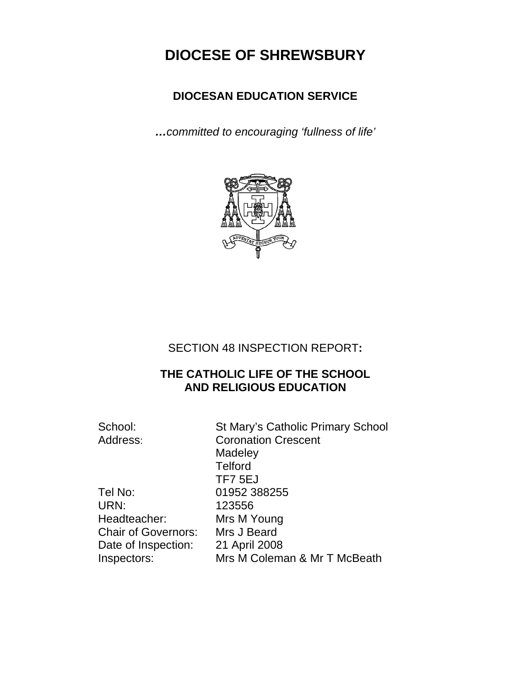# **DIOCESE OF SHREWSBURY**

# **DIOCESAN EDUCATION SERVICE**

*…committed to encouraging 'fullness of life'* 



# SECTION 48 INSPECTION REPORT**:**

# **THE CATHOLIC LIFE OF THE SCHOOL AND RELIGIOUS EDUCATION**

School: St Mary's Catholic Primary School Address: Coronation Crescent **Madeley Telford** TF7 5EJ Tel No: 01952 388255 URN: 123556 Headteacher: Mrs M Young Chair of Governors: Mrs J Beard Date of Inspection: 21 April 2008 Inspectors: Mrs M Coleman & Mr T McBeath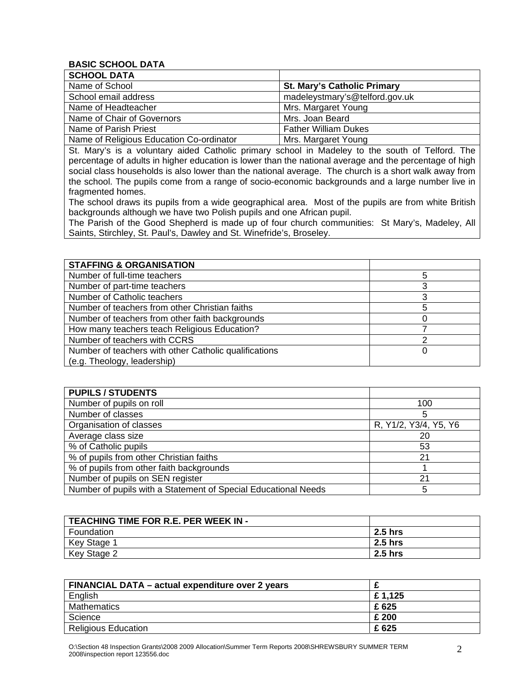#### **BASIC SCHOOL DATA**

| <b>SCHOOL DATA</b>                       |                                    |
|------------------------------------------|------------------------------------|
| Name of School                           | <b>St. Mary's Catholic Primary</b> |
| School email address                     | madeleystmary's@telford.gov.uk     |
| Name of Headteacher                      | Mrs. Margaret Young                |
| Name of Chair of Governors               | Mrs. Joan Beard                    |
| Name of Parish Priest                    | <b>Father William Dukes</b>        |
| Name of Religious Education Co-ordinator | Mrs. Margaret Young                |

St. Mary's is a voluntary aided Catholic primary school in Madeley to the south of Telford. The percentage of adults in higher education is lower than the national average and the percentage of high social class households is also lower than the national average. The church is a short walk away from the school. The pupils come from a range of socio-economic backgrounds and a large number live in fragmented homes.

The school draws its pupils from a wide geographical area. Most of the pupils are from white British backgrounds although we have two Polish pupils and one African pupil.

The Parish of the Good Shepherd is made up of four church communities: St Mary's, Madeley, All Saints, Stirchley, St. Paul's, Dawley and St. Winefride's, Broseley.

| <b>STAFFING &amp; ORGANISATION</b>                    |   |
|-------------------------------------------------------|---|
| Number of full-time teachers                          | 5 |
| Number of part-time teachers                          | 3 |
| Number of Catholic teachers                           |   |
| Number of teachers from other Christian faiths        | 5 |
| Number of teachers from other faith backgrounds       |   |
| How many teachers teach Religious Education?          |   |
| Number of teachers with CCRS                          |   |
| Number of teachers with other Catholic qualifications | 0 |
| (e.g. Theology, leadership)                           |   |

| <b>PUPILS / STUDENTS</b>                                       |                       |
|----------------------------------------------------------------|-----------------------|
| Number of pupils on roll                                       | 100                   |
| Number of classes                                              | 5                     |
| Organisation of classes                                        | R, Y1/2, Y3/4, Y5, Y6 |
| Average class size                                             | 20                    |
| % of Catholic pupils                                           | 53                    |
| % of pupils from other Christian faiths                        | 21                    |
| % of pupils from other faith backgrounds                       |                       |
| Number of pupils on SEN register                               | 21                    |
| Number of pupils with a Statement of Special Educational Needs | 5                     |

| <b>TEACHING TIME FOR R.E. PER WEEK IN -</b> |                |
|---------------------------------------------|----------------|
| Foundation                                  | <b>2.5 hrs</b> |
| Key Stage 1                                 | 2.5 hrs        |
| Key Stage 2                                 | 2.5 hrs        |

| FINANCIAL DATA - actual expenditure over 2 years |         |
|--------------------------------------------------|---------|
| English                                          | £ 1,125 |
| <b>Mathematics</b>                               | £ 625   |
| Science                                          | £ 200   |
| <b>Religious Education</b>                       | £ 625   |

O:\Section 48 Inspection Grants\2008 2009 Allocation\Summer Term Reports 2008\SHREWSBURY SUMMER TERM  $\,2\,$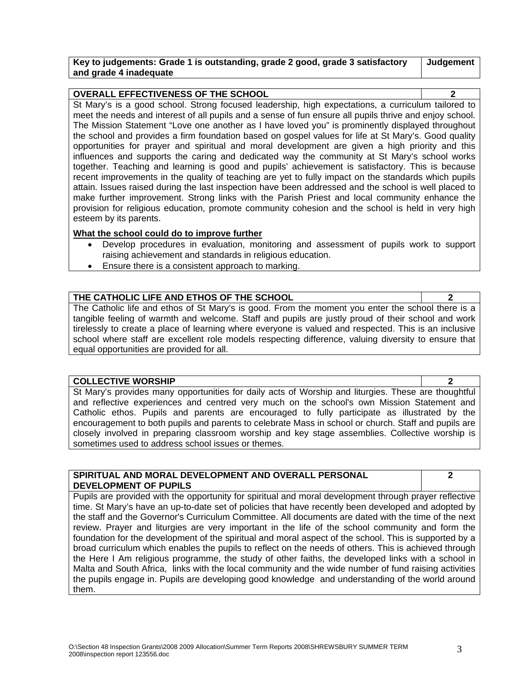#### **Key to judgements: Grade 1 is outstanding, grade 2 good, grade 3 satisfactory and grade 4 inadequate**

**Judgement** 

| <b>OVERALL EFFECTIVENESS OF THE SCHOOL</b>                                                              |  |
|---------------------------------------------------------------------------------------------------------|--|
| St Mary's is a good school. Strong focused leadership, high expectations, a curriculum tailored to      |  |
| meet the needs and interest of all pupils and a sense of fun ensure all pupils thrive and enjoy school. |  |
| The Mission Statement "Love one another as I have loved you" is prominently displayed throughout        |  |
| the school and provides a firm foundation based on gospel values for life at St Mary's. Good quality    |  |
| opportunities for prayer and spiritual and moral development are given a high priority and this         |  |
| influences and supports the caring and dedicated way the community at St Mary's school works            |  |
| together. Teaching and learning is good and pupils' achievement is satisfactory. This is because        |  |
| recent improvements in the quality of teaching are yet to fully impact on the standards which pupils    |  |
| attain. Issues raised during the last inspection have been addressed and the school is well placed to   |  |
| make further improvement. Strong links with the Parish Priest and local community enhance the           |  |
| provision for religious education, promote community cohesion and the school is held in very high       |  |
| esteem by its parents.                                                                                  |  |

### **What the school could do to improve further**

- Develop procedures in evaluation, monitoring and assessment of pupils work to support raising achievement and standards in religious education.
- Ensure there is a consistent approach to marking.

# **THE CATHOLIC LIFE AND ETHOS OF THE SCHOOL 2**

The Catholic life and ethos of St Mary's is good. From the moment you enter the school there is a tangible feeling of warmth and welcome. Staff and pupils are justly proud of their school and work tirelessly to create a place of learning where everyone is valued and respected. This is an inclusive school where staff are excellent role models respecting difference, valuing diversity to ensure that equal opportunities are provided for all.

#### **COLLECTIVE WORSHIP 2**

St Mary's provides many opportunities for daily acts of Worship and liturgies. These are thoughtful and reflective experiences and centred very much on the school's own Mission Statement and Catholic ethos. Pupils and parents are encouraged to fully participate as illustrated by the encouragement to both pupils and parents to celebrate Mass in school or church. Staff and pupils are closely involved in preparing classroom worship and key stage assemblies. Collective worship is sometimes used to address school issues or themes.

#### **SPIRITUAL AND MORAL DEVELOPMENT AND OVERALL PERSONAL DEVELOPMENT OF PUPILS**

**2** 

Pupils are provided with the opportunity for spiritual and moral development through prayer reflective time. St Mary's have an up-to-date set of policies that have recently been developed and adopted by the staff and the Governor's Curriculum Committee. All documents are dated with the time of the next review. Prayer and liturgies are very important in the life of the school community and form the foundation for the development of the spiritual and moral aspect of the school. This is supported by a broad curriculum which enables the pupils to reflect on the needs of others. This is achieved through the Here I Am religious programme, the study of other faiths, the developed links with a school in Malta and South Africa, links with the local community and the wide number of fund raising activities the pupils engage in. Pupils are developing good knowledge and understanding of the world around them.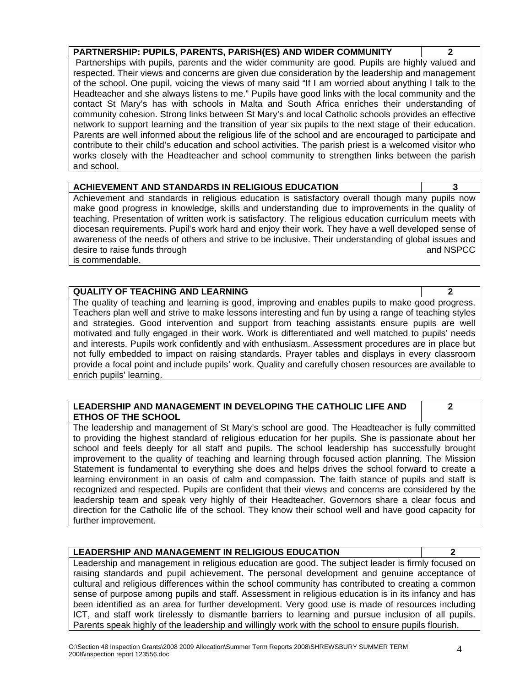**PARTNERSHIP: PUPILS, PARENTS, PARISH(ES) AND WIDER COMMUNITY 2**  Partnerships with pupils, parents and the wider community are good. Pupils are highly valued and respected. Their views and concerns are given due consideration by the leadership and management of the school. One pupil, voicing the views of many said "If I am worried about anything I talk to the Headteacher and she always listens to me." Pupils have good links with the local community and the contact St Mary's has with schools in Malta and South Africa enriches their understanding of community cohesion. Strong links between St Mary's and local Catholic schools provides an effective network to support learning and the transition of year six pupils to the next stage of their education. Parents are well informed about the religious life of the school and are encouraged to participate and contribute to their child's education and school activities. The parish priest is a welcomed visitor who works closely with the Headteacher and school community to strengthen links between the parish

# **ACHIEVEMENT AND STANDARDS IN RELIGIOUS EDUCATION 3**

Achievement and standards in religious education is satisfactory overall though many pupils now make good progress in knowledge, skills and understanding due to improvements in the quality of teaching. Presentation of written work is satisfactory. The religious education curriculum meets with diocesan requirements. Pupil's work hard and enjoy their work. They have a well developed sense of awareness of the needs of others and strive to be inclusive. Their understanding of global issues and desire to raise funds through and NSPCC and NSPCC and NSPCC is commendable.

### **QUALITY OF TEACHING AND LEARNING 2**

and school.

The quality of teaching and learning is good, improving and enables pupils to make good progress. Teachers plan well and strive to make lessons interesting and fun by using a range of teaching styles and strategies. Good intervention and support from teaching assistants ensure pupils are well motivated and fully engaged in their work. Work is differentiated and well matched to pupils' needs and interests. Pupils work confidently and with enthusiasm. Assessment procedures are in place but not fully embedded to impact on raising standards. Prayer tables and displays in every classroom provide a focal point and include pupils' work. Quality and carefully chosen resources are available to enrich pupils' learning.

## **LEADERSHIP AND MANAGEMENT IN DEVELOPING THE CATHOLIC LIFE AND ETHOS OF THE SCHOOL**

The leadership and management of St Mary's school are good. The Headteacher is fully committed to providing the highest standard of religious education for her pupils. She is passionate about her school and feels deeply for all staff and pupils. The school leadership has successfully brought improvement to the quality of teaching and learning through focused action planning. The Mission Statement is fundamental to everything she does and helps drives the school forward to create a learning environment in an oasis of calm and compassion. The faith stance of pupils and staff is recognized and respected. Pupils are confident that their views and concerns are considered by the leadership team and speak very highly of their Headteacher. Governors share a clear focus and direction for the Catholic life of the school. They know their school well and have good capacity for further improvement.

# **LEADERSHIP AND MANAGEMENT IN RELIGIOUS EDUCATION 2**

Leadership and management in religious education are good. The subject leader is firmly focused on raising standards and pupil achievement. The personal development and genuine acceptance of cultural and religious differences within the school community has contributed to creating a common sense of purpose among pupils and staff. Assessment in religious education is in its infancy and has been identified as an area for further development. Very good use is made of resources including ICT, and staff work tirelessly to dismantle barriers to learning and pursue inclusion of all pupils. Parents speak highly of the leadership and willingly work with the school to ensure pupils flourish.

**2**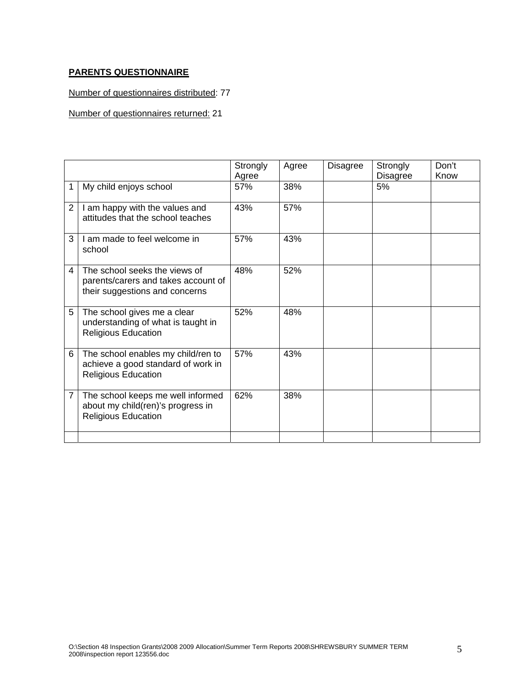## **PARENTS QUESTIONNAIRE**

Number of questionnaires distributed: 77

Number of questionnaires returned: 21

|                |                                                                                                        | Strongly<br>Agree | Agree | <b>Disagree</b> | Strongly<br><b>Disagree</b> | Don't<br>Know |
|----------------|--------------------------------------------------------------------------------------------------------|-------------------|-------|-----------------|-----------------------------|---------------|
| 1              | My child enjoys school                                                                                 | 57%               | 38%   |                 | 5%                          |               |
| $\overline{2}$ | I am happy with the values and<br>attitudes that the school teaches                                    | 43%               | 57%   |                 |                             |               |
| 3              | I am made to feel welcome in<br>school                                                                 | 57%               | 43%   |                 |                             |               |
| 4              | The school seeks the views of<br>parents/carers and takes account of<br>their suggestions and concerns | 48%               | 52%   |                 |                             |               |
| 5              | The school gives me a clear<br>understanding of what is taught in<br><b>Religious Education</b>        | 52%               | 48%   |                 |                             |               |
| 6              | The school enables my child/ren to<br>achieve a good standard of work in<br><b>Religious Education</b> | 57%               | 43%   |                 |                             |               |
| 7              | The school keeps me well informed<br>about my child(ren)'s progress in<br><b>Religious Education</b>   | 62%               | 38%   |                 |                             |               |
|                |                                                                                                        |                   |       |                 |                             |               |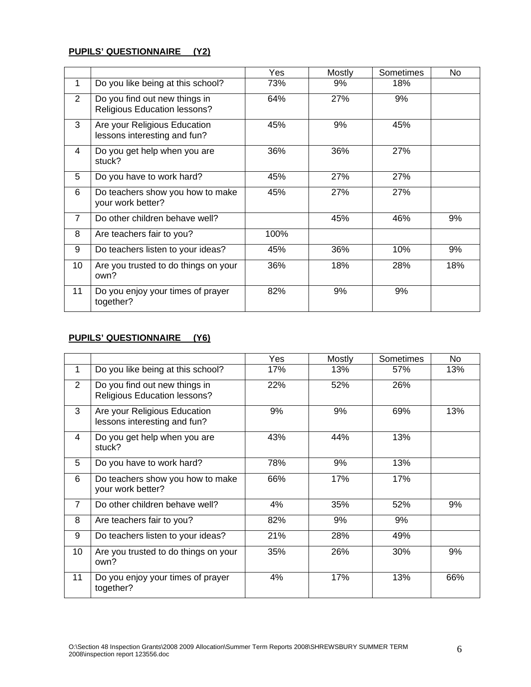#### **PUPILS' QUESTIONNAIRE (Y2)**

|                |                                                                      | Yes  | Mostly | Sometimes | No  |
|----------------|----------------------------------------------------------------------|------|--------|-----------|-----|
| 1              | Do you like being at this school?                                    | 73%  | 9%     | 18%       |     |
| $\overline{2}$ | Do you find out new things in<br><b>Religious Education lessons?</b> | 64%  | 27%    | 9%        |     |
| 3              | Are your Religious Education<br>lessons interesting and fun?         | 45%  | 9%     | 45%       |     |
| 4              | Do you get help when you are<br>stuck?                               | 36%  | 36%    | 27%       |     |
| 5              | Do you have to work hard?                                            | 45%  | 27%    | 27%       |     |
| 6              | Do teachers show you how to make<br>your work better?                | 45%  | 27%    | 27%       |     |
| $\overline{7}$ | Do other children behave well?                                       |      | 45%    | 46%       | 9%  |
| 8              | Are teachers fair to you?                                            | 100% |        |           |     |
| 9              | Do teachers listen to your ideas?                                    | 45%  | 36%    | 10%       | 9%  |
| 10             | Are you trusted to do things on your<br>own?                         | 36%  | 18%    | 28%       | 18% |
| 11             | Do you enjoy your times of prayer<br>together?                       | 82%  | 9%     | 9%        |     |

# **PUPILS' QUESTIONNAIRE (Y6)**

|                |                                                                      | Yes | Mostly | Sometimes | No  |
|----------------|----------------------------------------------------------------------|-----|--------|-----------|-----|
| 1              | Do you like being at this school?                                    | 17% | 13%    | 57%       | 13% |
| $\overline{2}$ | Do you find out new things in<br><b>Religious Education lessons?</b> | 22% | 52%    | 26%       |     |
| 3              | Are your Religious Education<br>lessons interesting and fun?         | 9%  | 9%     | 69%       | 13% |
| 4              | Do you get help when you are<br>stuck?                               | 43% | 44%    | 13%       |     |
| 5              | Do you have to work hard?                                            | 78% | 9%     | 13%       |     |
| 6              | Do teachers show you how to make<br>your work better?                | 66% | 17%    | 17%       |     |
| $\overline{7}$ | Do other children behave well?                                       | 4%  | 35%    | 52%       | 9%  |
| 8              | Are teachers fair to you?                                            | 82% | 9%     | 9%        |     |
| 9              | Do teachers listen to your ideas?                                    | 21% | 28%    | 49%       |     |
| 10             | Are you trusted to do things on your<br>own?                         | 35% | 26%    | 30%       | 9%  |
| 11             | Do you enjoy your times of prayer<br>together?                       | 4%  | 17%    | 13%       | 66% |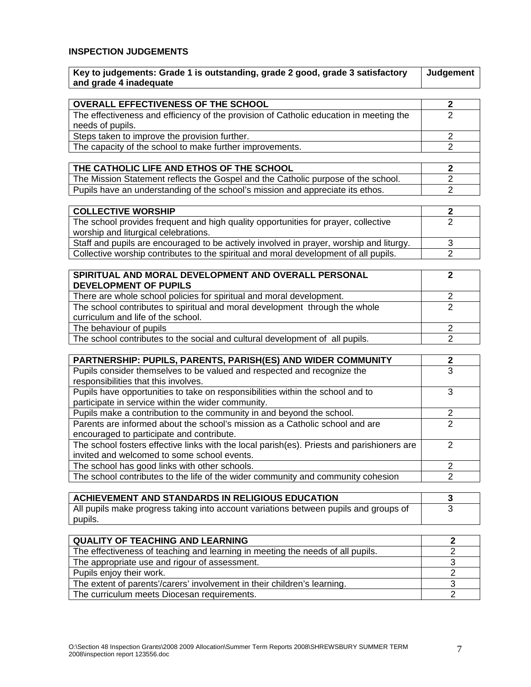#### **INSPECTION JUDGEMENTS**

| and grade 4 inadequate                                                                 |   |
|----------------------------------------------------------------------------------------|---|
|                                                                                        |   |
| <b>OVERALL EFFECTIVENESS OF THE SCHOOL</b>                                             |   |
| The effectiveness and efficiency of the provision of Catholic education in meeting the | າ |
| needs of pupils.                                                                       |   |
| Steps taken to improve the provision further.                                          | າ |
| The capacity of the school to make further improvements.                               | າ |
|                                                                                        |   |
| THE CATHOLIC LIFE AND ETHOS OF THE SCHOOL                                              |   |
| The Mission Statement reflects the Gospel and the Catholic purpose of the school.      |   |
| Pupils have an understanding of the school's mission and appreciate its ethos.         |   |

**Key to judgements: Grade 1 is outstanding, grade 2 good, grade 3 satisfactory** 

| <b>COLLECTIVE WORSHIP</b>                                                               |  |
|-----------------------------------------------------------------------------------------|--|
| The school provides frequent and high quality opportunities for prayer, collective      |  |
| worship and liturgical celebrations.                                                    |  |
| Staff and pupils are encouraged to be actively involved in prayer, worship and liturgy. |  |
| Collective worship contributes to the spiritual and moral development of all pupils.    |  |

| SPIRITUAL AND MORAL DEVELOPMENT AND OVERALL PERSONAL                         |  |
|------------------------------------------------------------------------------|--|
| <b>DEVELOPMENT OF PUPILS</b>                                                 |  |
| There are whole school policies for spiritual and moral development.         |  |
| The school contributes to spiritual and moral development through the whole  |  |
| curriculum and life of the school.                                           |  |
| The behaviour of pupils                                                      |  |
| The school contributes to the social and cultural development of all pupils. |  |

| PARTNERSHIP: PUPILS, PARENTS, PARISH(ES) AND WIDER COMMUNITY                               |  |
|--------------------------------------------------------------------------------------------|--|
| Pupils consider themselves to be valued and respected and recognize the                    |  |
| responsibilities that this involves.                                                       |  |
| Pupils have opportunities to take on responsibilities within the school and to             |  |
| participate in service within the wider community.                                         |  |
| Pupils make a contribution to the community in and beyond the school.                      |  |
| Parents are informed about the school's mission as a Catholic school and are               |  |
| encouraged to participate and contribute.                                                  |  |
| The school fosters effective links with the local parish(es). Priests and parishioners are |  |
| invited and welcomed to some school events.                                                |  |
| The school has good links with other schools.                                              |  |
| The school contributes to the life of the wider community and community cohesion           |  |

| ACHIEVEMENT AND STANDARDS IN RELIGIOUS EDUCATION                                     |  |
|--------------------------------------------------------------------------------------|--|
| All pupils make progress taking into account variations between pupils and groups of |  |
| pupils.                                                                              |  |

| <b>QUALITY OF TEACHING AND LEARNING</b>                                        |  |
|--------------------------------------------------------------------------------|--|
| The effectiveness of teaching and learning in meeting the needs of all pupils. |  |
| The appropriate use and rigour of assessment.                                  |  |
| Pupils enjoy their work.                                                       |  |
| The extent of parents'/carers' involvement in their children's learning.       |  |
| The curriculum meets Diocesan requirements.                                    |  |

**Judgement**